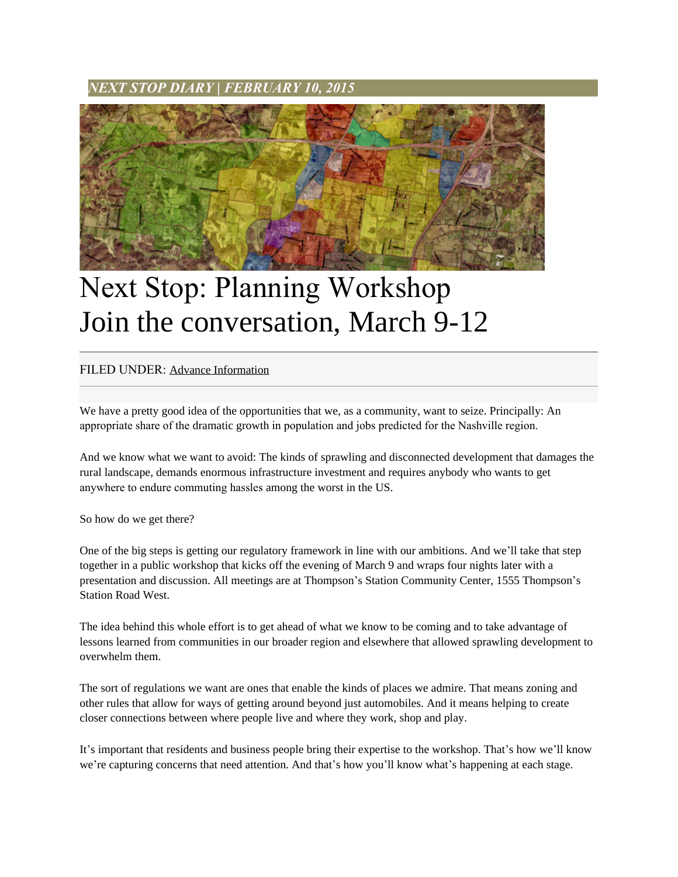*NEXT STOP DIARY* **|** *FEBRUARY 10, 2015*



## Next Stop: Planning Workshop Join the conversation, March 9-12

## FILED UNDER: [Advance Information](http://www.nextstopts.com/category/advance-information/)

We have a pretty good idea of the opportunities that we, as a community, want to seize. Principally: An appropriate share of the dramatic growth in population and jobs predicted for the Nashville region.

And we know what we want to avoid: The kinds of sprawling and disconnected development that damages the rural landscape, demands enormous infrastructure investment and requires anybody who wants to get anywhere to endure commuting hassles among the worst in the US.

So how do we get there?

One of the big steps is getting our regulatory framework in line with our ambitions. And we'll take that step together in a public workshop that kicks off the evening of March 9 and wraps four nights later with a presentation and discussion. All meetings are at Thompson's Station Community Center, 1555 Thompson's Station Road West.

The idea behind this whole effort is to get ahead of what we know to be coming and to take advantage of lessons learned from communities in our broader region and elsewhere that allowed sprawling development to overwhelm them.

The sort of regulations we want are ones that enable the kinds of places we admire. That means zoning and other rules that allow for ways of getting around beyond just automobiles. And it means helping to create closer connections between where people live and where they work, shop and play.

It's important that residents and business people bring their expertise to the workshop. That's how we'll know we're capturing concerns that need attention. And that's how you'll know what's happening at each stage.